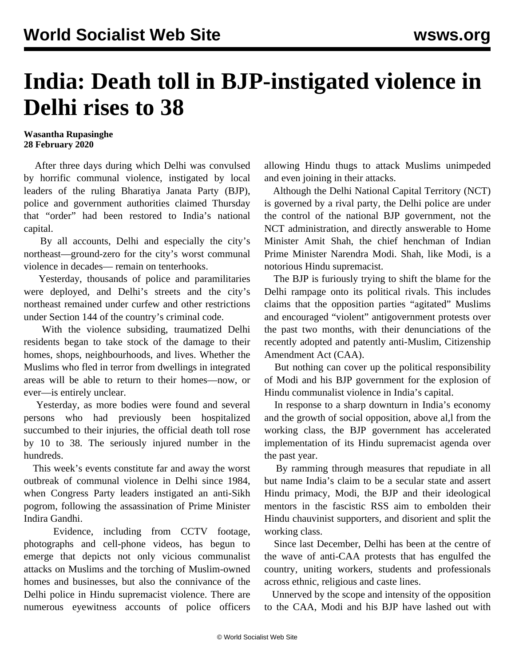## **India: Death toll in BJP-instigated violence in Delhi rises to 38**

## **Wasantha Rupasinghe 28 February 2020**

 After three days during which Delhi was convulsed by horrific communal violence, instigated by local leaders of the ruling Bharatiya Janata Party (BJP), police and government authorities claimed Thursday that "order" had been restored to India's national capital.

 By all accounts, Delhi and especially the city's northeast—ground-zero for the city's worst communal violence in decades— remain on tenterhooks.

 Yesterday, thousands of police and paramilitaries were deployed, and Delhi's streets and the city's northeast remained under curfew and other restrictions under Section 144 of the country's criminal code.

 With the violence subsiding, traumatized Delhi residents began to take stock of the damage to their homes, shops, neighbourhoods, and lives. Whether the Muslims who fled in terror from dwellings in integrated areas will be able to return to their homes—now, or ever—is entirely unclear.

 Yesterday, as more bodies were found and several persons who had previously been hospitalized succumbed to their injuries, the official death toll rose by 10 to 38. The seriously injured number in the hundreds.

 This week's events constitute far and away the worst outbreak of communal violence in Delhi since 1984, when Congress Party leaders instigated an anti-Sikh pogrom, following the assassination of Prime Minister Indira Gandhi.

 Evidence, including from CCTV footage, photographs and cell-phone videos, has begun to emerge that depicts not only vicious communalist attacks on Muslims and the torching of Muslim-owned homes and businesses, but also the connivance of the Delhi police in Hindu supremacist violence. There are numerous eyewitness accounts of police officers

allowing Hindu thugs to attack Muslims unimpeded and even joining in their attacks.

 Although the Delhi National Capital Territory (NCT) is governed by a rival party, the Delhi police are under the control of the national BJP government, not the NCT administration, and directly answerable to Home Minister Amit Shah, the chief henchman of Indian Prime Minister Narendra Modi. Shah, like Modi, is a notorious Hindu supremacist.

 The BJP is furiously trying to shift the blame for the Delhi rampage onto its political rivals. This includes claims that the opposition parties "agitated" Muslims and encouraged "violent" antigovernment protests over the past two months, with their denunciations of the recently adopted and patently anti-Muslim, Citizenship Amendment Act (CAA).

 But nothing can cover up the political responsibility of Modi and his BJP government for the explosion of Hindu communalist violence in India's capital.

 In response to a sharp downturn in India's economy and the growth of social opposition, above al,l from the working class, the BJP government has accelerated implementation of its Hindu supremacist agenda over the past year.

 By ramming through measures that repudiate in all but name India's claim to be a secular state and assert Hindu primacy, Modi, the BJP and their ideological mentors in the fascistic RSS aim to embolden their Hindu chauvinist supporters, and disorient and split the working class.

 Since last December, Delhi has been at the centre of the wave of anti-CAA protests that has engulfed the country, uniting workers, students and professionals across ethnic, religious and caste lines.

 Unnerved by the scope and intensity of the opposition to the CAA, Modi and his BJP have lashed out with